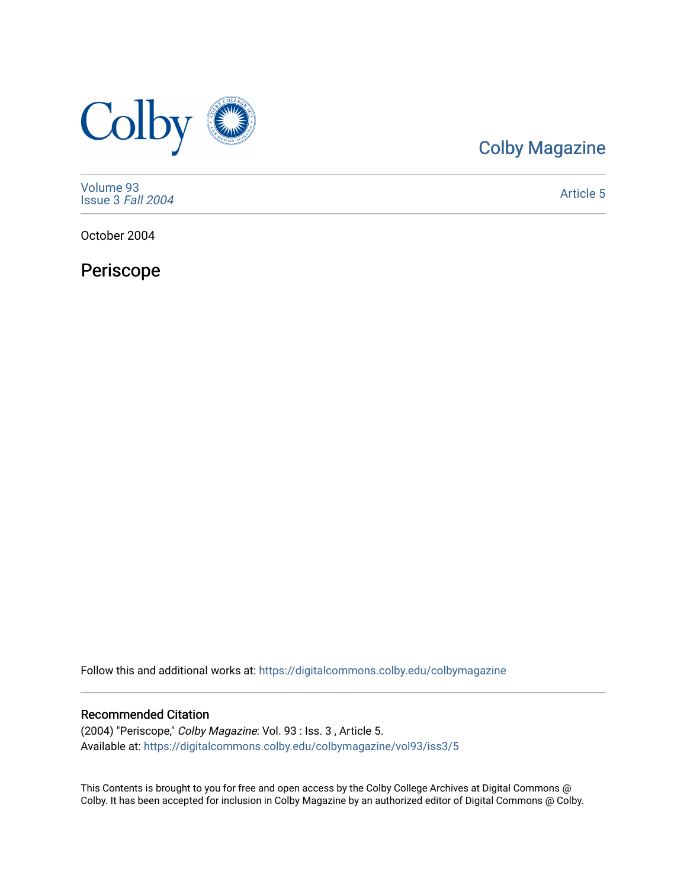

# [Colby Magazine](https://digitalcommons.colby.edu/colbymagazine)

[Volume 93](https://digitalcommons.colby.edu/colbymagazine/vol93) [Issue 3](https://digitalcommons.colby.edu/colbymagazine/vol93/iss3) Fall 2004

[Article 5](https://digitalcommons.colby.edu/colbymagazine/vol93/iss3/5) 

October 2004

Periscope

Follow this and additional works at: [https://digitalcommons.colby.edu/colbymagazine](https://digitalcommons.colby.edu/colbymagazine?utm_source=digitalcommons.colby.edu%2Fcolbymagazine%2Fvol93%2Fiss3%2F5&utm_medium=PDF&utm_campaign=PDFCoverPages)

# Recommended Citation

(2004) "Periscope," Colby Magazine: Vol. 93 : Iss. 3 , Article 5. Available at: [https://digitalcommons.colby.edu/colbymagazine/vol93/iss3/5](https://digitalcommons.colby.edu/colbymagazine/vol93/iss3/5?utm_source=digitalcommons.colby.edu%2Fcolbymagazine%2Fvol93%2Fiss3%2F5&utm_medium=PDF&utm_campaign=PDFCoverPages)

This Contents is brought to you for free and open access by the Colby College Archives at Digital Commons @ Colby. It has been accepted for inclusion in Colby Magazine by an authorized editor of Digital Commons @ Colby.